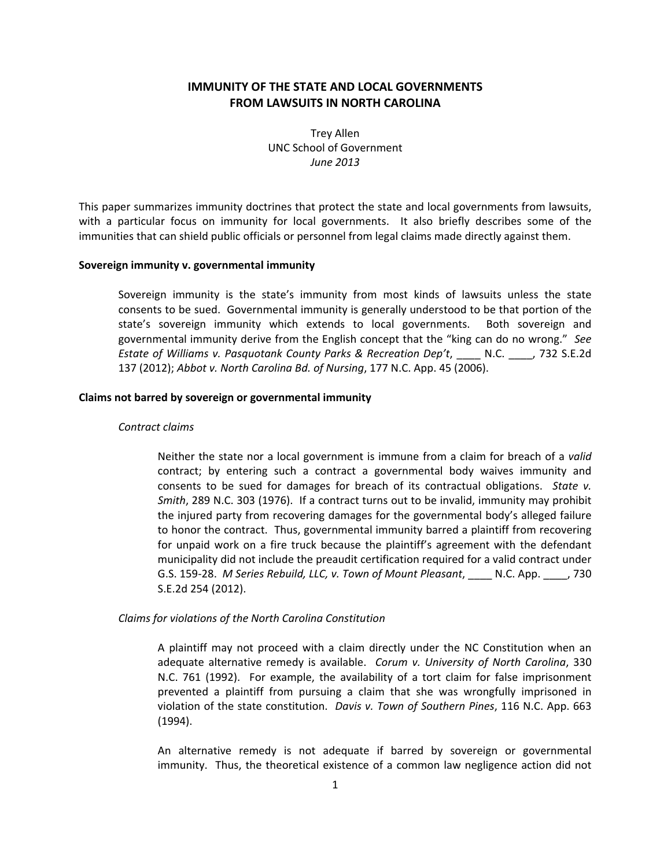# **IMMUNITY OF THE STATE AND LOCAL GOVERNMENTS FROM LAWSUITS IN NORTH CAROLINA**

Trey Allen UNC School of Government *June 2013*

This paper summarizes immunity doctrines that protect the state and local governments from lawsuits, with a particular focus on immunity for local governments. It also briefly describes some of the immunities that can shield public officials or personnel from legal claims made directly against them.

### **Sovereign immunity v. governmental immunity**

Sovereign immunity is the state's immunity from most kinds of lawsuits unless the state consents to be sued. Governmental immunity is generally understood to be that portion of the state's sovereign immunity which extends to local governments. Both sovereign and governmental immunity derive from the English concept that the "king can do no wrong." *See Estate of Williams v. Pasquotank County Parks & Recreation Dep't*, \_\_\_\_ N.C. \_\_\_\_, 732 S.E.2d 137 (2012); *Abbot v. North Carolina Bd. of Nursing*, 177 N.C. App. 45 (2006).

### **Claims not barred by sovereign or governmental immunity**

#### *Contract claims*

Neither the state nor a local government is immune from a claim for breach of a *valid* contract; by entering such a contract a governmental body waives immunity and consents to be sued for damages for breach of its contractual obligations. *State v. Smith*, 289 N.C. 303 (1976). If a contract turns out to be invalid, immunity may prohibit the injured party from recovering damages for the governmental body's alleged failure to honor the contract. Thus, governmental immunity barred a plaintiff from recovering for unpaid work on a fire truck because the plaintiff's agreement with the defendant municipality did not include the preaudit certification required for a valid contract under G.S. 159‐28. *M Series Rebuild, LLC, v. Town of Mount Pleasant*, \_\_\_\_ N.C. App. \_\_\_\_, 730 S.E.2d 254 (2012).

### *Claims for violations of the North Carolina Constitution*

A plaintiff may not proceed with a claim directly under the NC Constitution when an adequate alternative remedy is available. *Corum v. University of North Carolina*, 330 N.C. 761 (1992). For example, the availability of a tort claim for false imprisonment prevented a plaintiff from pursuing a claim that she was wrongfully imprisoned in violation of the state constitution. *Davis v. Town of Southern Pines*, 116 N.C. App. 663 (1994).

An alternative remedy is not adequate if barred by sovereign or governmental immunity. Thus, the theoretical existence of a common law negligence action did not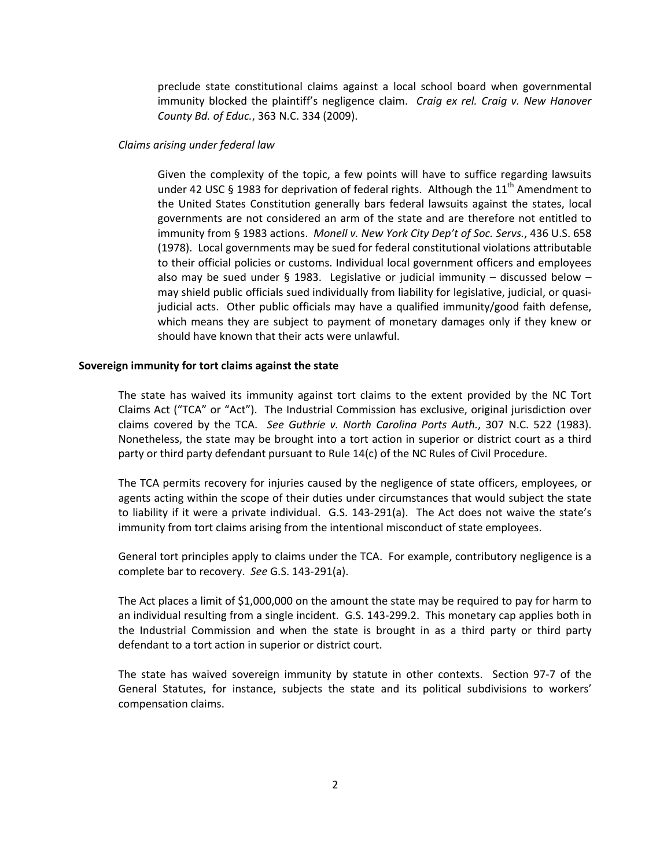preclude state constitutional claims against a local school board when governmental immunity blocked the plaintiff's negligence claim. *Craig ex rel. Craig v. New Hanover County Bd. of Educ.*, 363 N.C. 334 (2009).

# *Claims arising under federal law*

Given the complexity of the topic, a few points will have to suffice regarding lawsuits under 42 USC § 1983 for deprivation of federal rights. Although the  $11<sup>th</sup>$  Amendment to the United States Constitution generally bars federal lawsuits against the states, local governments are not considered an arm of the state and are therefore not entitled to immunity from § 1983 actions. *Monell v. New York City Dep't of Soc. Servs.*, 436 U.S. 658 (1978). Local governments may be sued for federal constitutional violations attributable to their official policies or customs. Individual local government officers and employees also may be sued under § 1983. Legislative or judicial immunity – discussed below – may shield public officials sued individually from liability for legislative, judicial, or quasi‐ judicial acts. Other public officials may have a qualified immunity/good faith defense, which means they are subject to payment of monetary damages only if they knew or should have known that their acts were unlawful.

### **Sovereign immunity for tort claims against the state**

The state has waived its immunity against tort claims to the extent provided by the NC Tort Claims Act ("TCA" or "Act"). The Industrial Commission has exclusive, original jurisdiction over claims covered by the TCA. *See Guthrie v. North Carolina Ports Auth.*, 307 N.C. 522 (1983). Nonetheless, the state may be brought into a tort action in superior or district court as a third party or third party defendant pursuant to Rule 14(c) of the NC Rules of Civil Procedure.

The TCA permits recovery for injuries caused by the negligence of state officers, employees, or agents acting within the scope of their duties under circumstances that would subject the state to liability if it were a private individual. G.S. 143‐291(a). The Act does not waive the state's immunity from tort claims arising from the intentional misconduct of state employees.

General tort principles apply to claims under the TCA. For example, contributory negligence is a complete bar to recovery. *See* G.S. 143‐291(a).

The Act places a limit of \$1,000,000 on the amount the state may be required to pay for harm to an individual resulting from a single incident. G.S. 143‐299.2. This monetary cap applies both in the Industrial Commission and when the state is brought in as a third party or third party defendant to a tort action in superior or district court.

The state has waived sovereign immunity by statute in other contexts. Section 97-7 of the General Statutes, for instance, subjects the state and its political subdivisions to workers' compensation claims.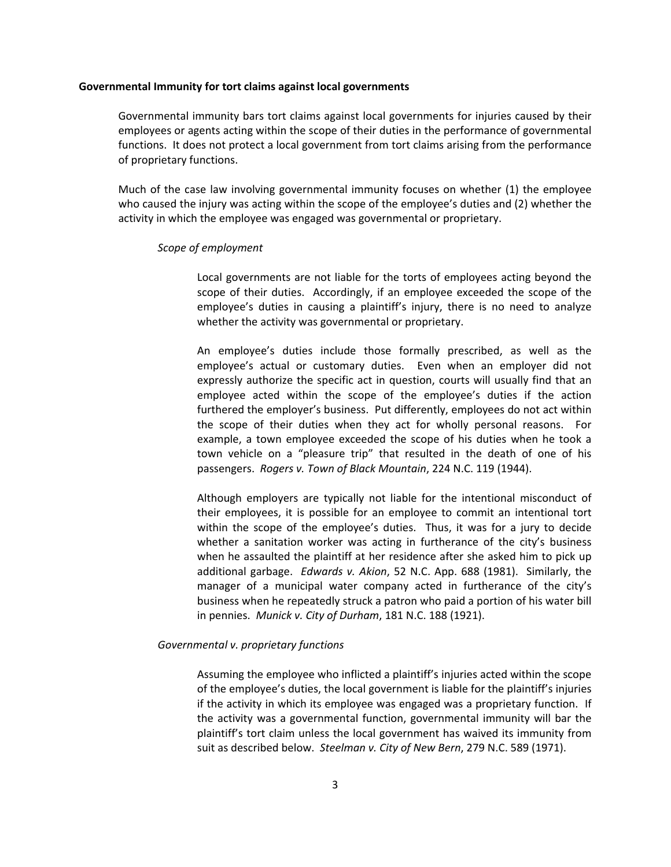### **Governmental Immunity for tort claims against local governments**

Governmental immunity bars tort claims against local governments for injuries caused by their employees or agents acting within the scope of their duties in the performance of governmental functions. It does not protect a local government from tort claims arising from the performance of proprietary functions.

Much of the case law involving governmental immunity focuses on whether (1) the employee who caused the injury was acting within the scope of the employee's duties and (2) whether the activity in which the employee was engaged was governmental or proprietary.

#### *Scope of employment*

Local governments are not liable for the torts of employees acting beyond the scope of their duties. Accordingly, if an employee exceeded the scope of the employee's duties in causing a plaintiff's injury, there is no need to analyze whether the activity was governmental or proprietary.

An employee's duties include those formally prescribed, as well as the employee's actual or customary duties. Even when an employer did not expressly authorize the specific act in question, courts will usually find that an employee acted within the scope of the employee's duties if the action furthered the employer's business. Put differently, employees do not act within the scope of their duties when they act for wholly personal reasons. For example, a town employee exceeded the scope of his duties when he took a town vehicle on a "pleasure trip" that resulted in the death of one of his passengers. *Rogers v. Town of Black Mountain*, 224 N.C. 119 (1944).

Although employers are typically not liable for the intentional misconduct of their employees, it is possible for an employee to commit an intentional tort within the scope of the employee's duties. Thus, it was for a jury to decide whether a sanitation worker was acting in furtherance of the city's business when he assaulted the plaintiff at her residence after she asked him to pick up additional garbage. *Edwards v. Akion*, 52 N.C. App. 688 (1981). Similarly, the manager of a municipal water company acted in furtherance of the city's business when he repeatedly struck a patron who paid a portion of his water bill in pennies. *Munick v. City of Durham*, 181 N.C. 188 (1921).

### *Governmental v. proprietary functions*

Assuming the employee who inflicted a plaintiff's injuries acted within the scope of the employee's duties, the local government is liable for the plaintiff's injuries if the activity in which its employee was engaged was a proprietary function. If the activity was a governmental function, governmental immunity will bar the plaintiff's tort claim unless the local government has waived its immunity from suit as described below. *Steelman v. City of New Bern*, 279 N.C. 589 (1971).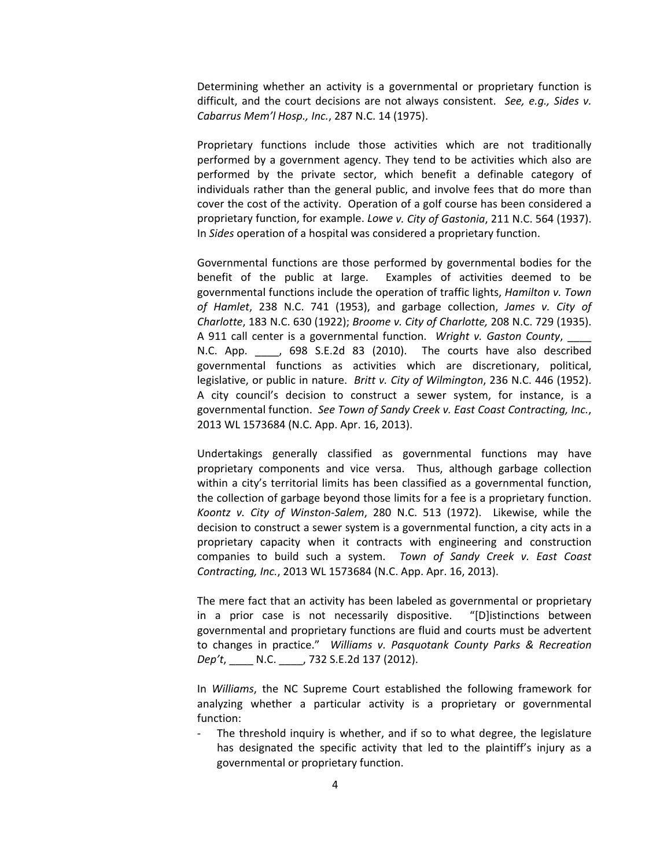Determining whether an activity is a governmental or proprietary function is difficult, and the court decisions are not always consistent. *See, e.g., Sides v. Cabarrus Mem'l Hosp., Inc.*, 287 N.C. 14 (1975). 

Proprietary functions include those activities which are not traditionally performed by a government agency. They tend to be activities which also are performed by the private sector, which benefit a definable category of individuals rather than the general public, and involve fees that do more than cover the cost of the activity. Operation of a golf course has been considered a proprietary function, for example. *Lowe v. City of Gastonia*, 211 N.C. 564 (1937). In *Sides* operation of a hospital was considered a proprietary function.

Governmental functions are those performed by governmental bodies for the benefit of the public at large. Examples of activities deemed to be governmental functions include the operation of traffic lights, *Hamilton v. Town of Hamlet*, 238 N.C. 741 (1953), and garbage collection, *James v. City of Charlotte*, 183 N.C. 630 (1922); *Broome v. City of Charlotte,* 208 N.C. 729 (1935). A 911 call center is a governmental function. *Wright v. Gaston County*, \_\_\_\_ N.C. App.  $\overline{)}$ , 698 S.E.2d 83 (2010). The courts have also described governmental functions as activities which are discretionary, political, legislative, or public in nature. *Britt v. City of Wilmington*, 236 N.C. 446 (1952). A city council's decision to construct a sewer system, for instance, is a governmental function. *See Town of Sandy Creek v. East Coast Contracting, Inc.*, 2013 WL 1573684 (N.C. App. Apr. 16, 2013).

Undertakings generally classified as governmental functions may have proprietary components and vice versa. Thus, although garbage collection within a city's territorial limits has been classified as a governmental function, the collection of garbage beyond those limits for a fee is a proprietary function. *Koontz v. City of Winston‐Salem*, 280 N.C. 513 (1972). Likewise, while the decision to construct a sewer system is a governmental function, a city acts in a proprietary capacity when it contracts with engineering and construction companies to build such a system. *Town of Sandy Creek v. East Coast Contracting, Inc.*, 2013 WL 1573684 (N.C. App. Apr. 16, 2013).

The mere fact that an activity has been labeled as governmental or proprietary in a prior case is not necessarily dispositive. "[D]istinctions between governmental and proprietary functions are fluid and courts must be advertent to changes in practice." *Williams v. Pasquotank County Parks & Recreation Dep't*, \_\_\_\_ N.C. \_\_\_\_, 732 S.E.2d 137 (2012).

In *Williams*, the NC Supreme Court established the following framework for analyzing whether a particular activity is a proprietary or governmental function:

‐ The threshold inquiry is whether, and if so to what degree, the legislature has designated the specific activity that led to the plaintiff's injury as a governmental or proprietary function.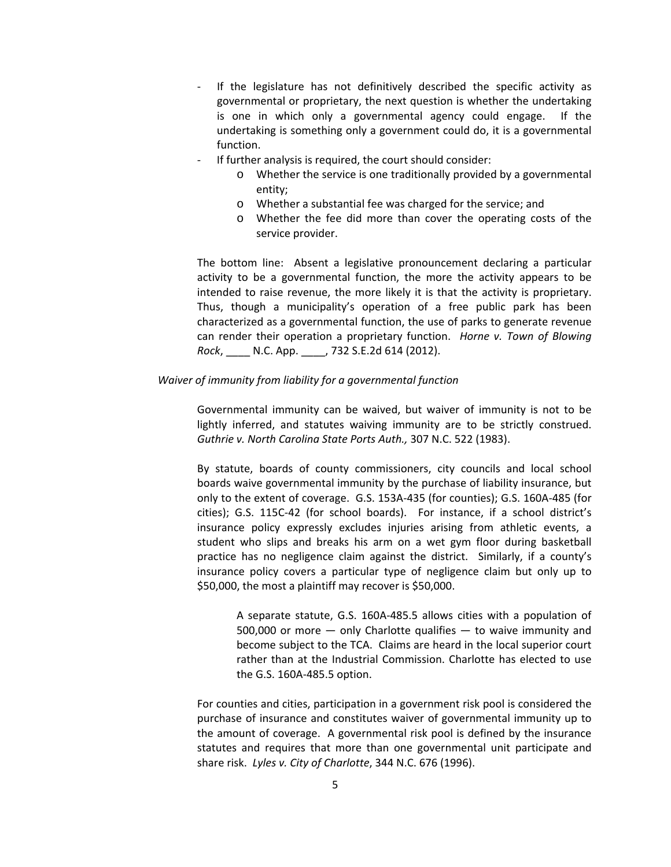- ‐ If the legislature has not definitively described the specific activity as governmental or proprietary, the next question is whether the undertaking is one in which only a governmental agency could engage. If the undertaking is something only a government could do, it is a governmental function.
- If further analysis is required, the court should consider:
	- o Whether the service is one traditionally provided by a governmental entity;
	- o Whether a substantial fee was charged for the service; and
	- o Whether the fee did more than cover the operating costs of the service provider.

The bottom line: Absent a legislative pronouncement declaring a particular activity to be a governmental function, the more the activity appears to be intended to raise revenue, the more likely it is that the activity is proprietary. Thus, though a municipality's operation of a free public park has been characterized as a governmental function, the use of parks to generate revenue can render their operation a proprietary function. *Horne v. Town of Blowing Rock*, \_\_\_\_ N.C. App. \_\_\_\_, 732 S.E.2d 614 (2012).

# *Waiver of immunity from liability for a governmental function*

Governmental immunity can be waived, but waiver of immunity is not to be lightly inferred, and statutes waiving immunity are to be strictly construed. *Guthrie v. North Carolina State Ports Auth.,* 307 N.C. 522 (1983).

By statute, boards of county commissioners, city councils and local school boards waive governmental immunity by the purchase of liability insurance, but only to the extent of coverage. G.S. 153A‐435 (for counties); G.S. 160A‐485 (for cities); G.S. 115C‐42 (for school boards). For instance, if a school district's insurance policy expressly excludes injuries arising from athletic events, a student who slips and breaks his arm on a wet gym floor during basketball practice has no negligence claim against the district. Similarly, if a county's insurance policy covers a particular type of negligence claim but only up to \$50,000, the most a plaintiff may recover is \$50,000.

A separate statute, G.S. 160A‐485.5 allows cities with a population of  $500,000$  or more  $-$  only Charlotte qualifies  $-$  to waive immunity and become subject to the TCA. Claims are heard in the local superior court rather than at the Industrial Commission. Charlotte has elected to use the G.S. 160A‐485.5 option.

For counties and cities, participation in a government risk pool is considered the purchase of insurance and constitutes waiver of governmental immunity up to the amount of coverage. A governmental risk pool is defined by the insurance statutes and requires that more than one governmental unit participate and share risk. *Lyles v. City of Charlotte*, 344 N.C. 676 (1996).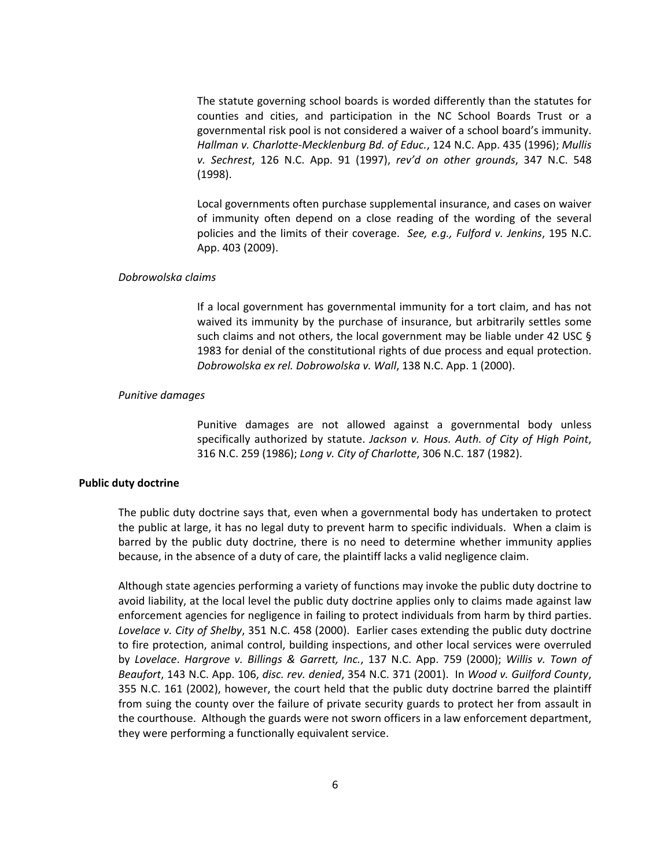The statute governing school boards is worded differently than the statutes for counties and cities, and participation in the NC School Boards Trust or a governmental risk pool is not considered a waiver of a school board's immunity. *Hallman v. Charlotte‐Mecklenburg Bd. of Educ.*, 124 N.C. App. 435 (1996); *Mullis v. Sechrest*, 126 N.C. App. 91 (1997), *rev'd on other grounds*, 347 N.C. 548 (1998).

Local governments often purchase supplemental insurance, and cases on waiver of immunity often depend on a close reading of the wording of the several policies and the limits of their coverage. *See, e.g., Fulford v. Jenkins*, 195 N.C. App. 403 (2009).

# *Dobrowolska claims*

If a local government has governmental immunity for a tort claim, and has not waived its immunity by the purchase of insurance, but arbitrarily settles some such claims and not others, the local government may be liable under 42 USC § 1983 for denial of the constitutional rights of due process and equal protection. *Dobrowolska ex rel. Dobrowolska v. Wall*, 138 N.C. App. 1 (2000).

# *Punitive damages*

Punitive damages are not allowed against a governmental body unless specifically authorized by statute. *Jackson v. Hous. Auth. of City of High Point*, 316 N.C. 259 (1986); *Long v. City of Charlotte*, 306 N.C. 187 (1982).

### **Public duty doctrine**

The public duty doctrine says that, even when a governmental body has undertaken to protect the public at large, it has no legal duty to prevent harm to specific individuals. When a claim is barred by the public duty doctrine, there is no need to determine whether immunity applies because, in the absence of a duty of care, the plaintiff lacks a valid negligence claim.

Although state agencies performing a variety of functions may invoke the public duty doctrine to avoid liability, at the local level the public duty doctrine applies only to claims made against law enforcement agencies for negligence in failing to protect individuals from harm by third parties. *Lovelace v. City of Shelby*, 351 N.C. 458 (2000). Earlier cases extending the public duty doctrine to fire protection, animal control, building inspections, and other local services were overruled by *Lovelace*. *Hargrove v. Billings & Garrett, Inc.*, 137 N.C. App. 759 (2000); *Willis v. Town of Beaufort*, 143 N.C. App. 106, *disc. rev. denied*, 354 N.C. 371 (2001). In *Wood v. Guilford County*, 355 N.C. 161 (2002), however, the court held that the public duty doctrine barred the plaintiff from suing the county over the failure of private security guards to protect her from assault in the courthouse. Although the guards were not sworn officers in a law enforcement department, they were performing a functionally equivalent service.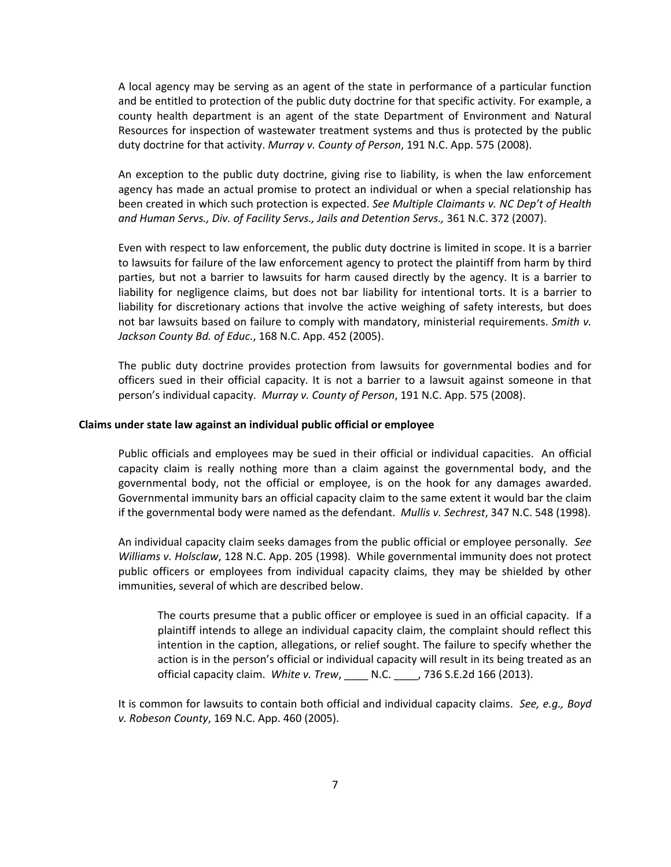A local agency may be serving as an agent of the state in performance of a particular function and be entitled to protection of the public duty doctrine for that specific activity. For example, a county health department is an agent of the state Department of Environment and Natural Resources for inspection of wastewater treatment systems and thus is protected by the public duty doctrine for that activity. *Murray v. County of Person*, 191 N.C. App. 575 (2008).

An exception to the public duty doctrine, giving rise to liability, is when the law enforcement agency has made an actual promise to protect an individual or when a special relationship has been created in which such protection is expected. *See Multiple Claimants v. NC Dep't of Health and Human Servs., Div. of Facility Servs., Jails and Detention Servs.,* 361 N.C. 372 (2007).

Even with respect to law enforcement, the public duty doctrine is limited in scope. It is a barrier to lawsuits for failure of the law enforcement agency to protect the plaintiff from harm by third parties, but not a barrier to lawsuits for harm caused directly by the agency. It is a barrier to liability for negligence claims, but does not bar liability for intentional torts. It is a barrier to liability for discretionary actions that involve the active weighing of safety interests, but does not bar lawsuits based on failure to comply with mandatory, ministerial requirements. *Smith v. Jackson County Bd. of Educ.*, 168 N.C. App. 452 (2005).

The public duty doctrine provides protection from lawsuits for governmental bodies and for officers sued in their official capacity. It is not a barrier to a lawsuit against someone in that person's individual capacity. *Murray v. County of Person*, 191 N.C. App. 575 (2008).

### **Claims under state law against an individual public official or employee**

Public officials and employees may be sued in their official or individual capacities. An official capacity claim is really nothing more than a claim against the governmental body, and the governmental body, not the official or employee, is on the hook for any damages awarded. Governmental immunity bars an official capacity claim to the same extent it would bar the claim if the governmental body were named as the defendant. *Mullis v. Sechrest*, 347 N.C. 548 (1998).

An individual capacity claim seeks damages from the public official or employee personally*. See Williams v. Holsclaw*, 128 N.C. App. 205 (1998). While governmental immunity does not protect public officers or employees from individual capacity claims, they may be shielded by other immunities, several of which are described below.

The courts presume that a public officer or employee is sued in an official capacity. If a plaintiff intends to allege an individual capacity claim, the complaint should reflect this intention in the caption, allegations, or relief sought. The failure to specify whether the action is in the person's official or individual capacity will result in its being treated as an official capacity claim. *White v. Trew*, \_\_\_\_ N.C. \_\_\_\_, 736 S.E.2d 166 (2013).

It is common for lawsuits to contain both official and individual capacity claims. *See, e.g., Boyd v. Robeson County*, 169 N.C. App. 460 (2005).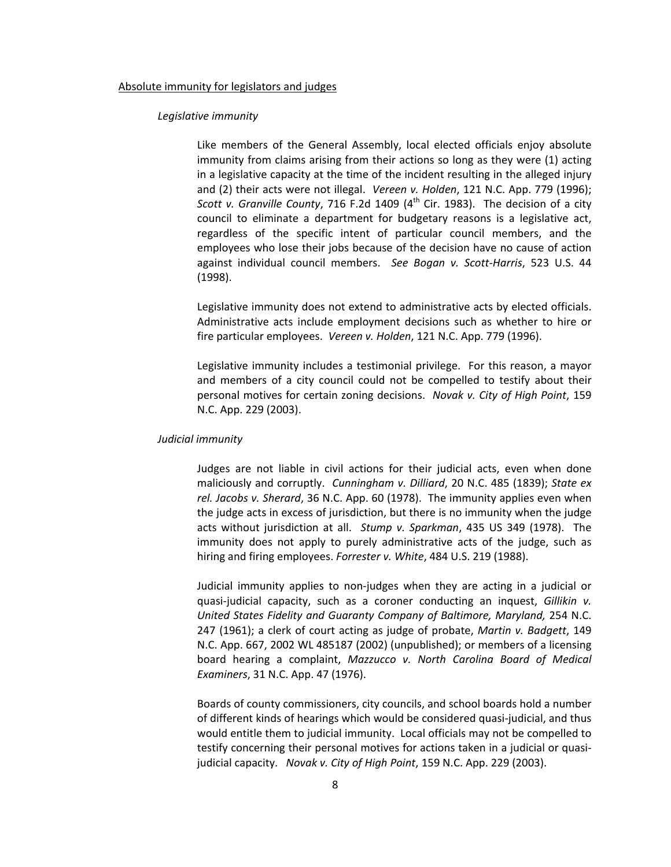### Absolute immunity for legislators and judges

# *Legislative immunity*

Like members of the General Assembly, local elected officials enjoy absolute immunity from claims arising from their actions so long as they were (1) acting in a legislative capacity at the time of the incident resulting in the alleged injury and (2) their acts were not illegal. *Vereen v. Holden*, 121 N.C. App. 779 (1996); *Scott v. Granville County,* 716 F.2d 1409 (4<sup>th</sup> Cir. 1983). The decision of a city council to eliminate a department for budgetary reasons is a legislative act, regardless of the specific intent of particular council members, and the employees who lose their jobs because of the decision have no cause of action against individual council members. *See Bogan v. Scott‐Harris*, 523 U.S. 44 (1998).

Legislative immunity does not extend to administrative acts by elected officials. Administrative acts include employment decisions such as whether to hire or fire particular employees. *Vereen v. Holden*, 121 N.C. App. 779 (1996).

Legislative immunity includes a testimonial privilege. For this reason, a mayor and members of a city council could not be compelled to testify about their personal motives for certain zoning decisions. *Novak v. City of High Point*, 159 N.C. App. 229 (2003).

# *Judicial immunity*

Judges are not liable in civil actions for their judicial acts, even when done maliciously and corruptly. *Cunningham v. Dilliard*, 20 N.C. 485 (1839); *State ex rel. Jacobs v. Sherard*, 36 N.C. App. 60 (1978). The immunity applies even when the judge acts in excess of jurisdiction, but there is no immunity when the judge acts without jurisdiction at all. *Stump v. Sparkman*, 435 US 349 (1978). The immunity does not apply to purely administrative acts of the judge, such as hiring and firing employees. *Forrester v. White*, 484 U.S. 219 (1988).

Judicial immunity applies to non‐judges when they are acting in a judicial or quasi‐judicial capacity, such as a coroner conducting an inquest, *Gillikin v. United States Fidelity and Guaranty Company of Baltimore, Maryland,* 254 N.C. 247 (1961); a clerk of court acting as judge of probate, *Martin v. Badgett*, 149 N.C. App. 667, 2002 WL 485187 (2002) (unpublished); or members of a licensing board hearing a complaint, *Mazzucco v. North Carolina Board of Medical Examiners*, 31 N.C. App. 47 (1976).

Boards of county commissioners, city councils, and school boards hold a number of different kinds of hearings which would be considered quasi‐judicial, and thus would entitle them to judicial immunity. Local officials may not be compelled to testify concerning their personal motives for actions taken in a judicial or quasi‐ judicial capacity. *Novak v. City of High Point*, 159 N.C. App. 229 (2003).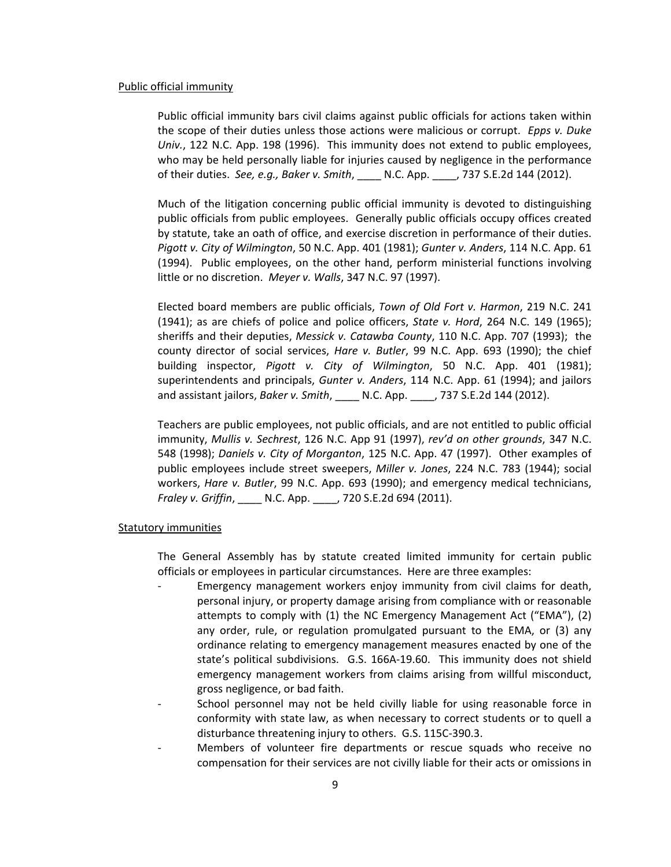### Public official immunity

Public official immunity bars civil claims against public officials for actions taken within the scope of their duties unless those actions were malicious or corrupt. *Epps v. Duke Univ.*, 122 N.C. App. 198 (1996). This immunity does not extend to public employees, who may be held personally liable for injuries caused by negligence in the performance of their duties. *See, e.g., Baker v. Smith*, \_\_\_\_ N.C. App. \_\_\_\_, 737 S.E.2d 144 (2012).

Much of the litigation concerning public official immunity is devoted to distinguishing public officials from public employees. Generally public officials occupy offices created by statute, take an oath of office, and exercise discretion in performance of their duties. *Pigott v. City of Wilmington*, 50 N.C. App. 401 (1981); *Gunter v. Anders*, 114 N.C. App. 61 (1994). Public employees, on the other hand, perform ministerial functions involving little or no discretion. *Meyer v. Walls*, 347 N.C. 97 (1997).

Elected board members are public officials, *Town of Old Fort v. Harmon*, 219 N.C. 241 (1941); as are chiefs of police and police officers, *State v. Hord*, 264 N.C. 149 (1965); sheriffs and their deputies, *Messick v. Catawba County*, 110 N.C. App. 707 (1993); the county director of social services, *Hare v. Butler*, 99 N.C. App. 693 (1990); the chief building inspector, *Pigott v. City of Wilmington*, 50 N.C. App. 401 (1981); superintendents and principals, *Gunter v. Anders*, 114 N.C. App. 61 (1994); and jailors and assistant jailors, *Baker v. Smith*, \_\_\_\_ N.C. App. \_\_\_\_, 737 S.E.2d 144 (2012).

Teachers are public employees, not public officials, and are not entitled to public official immunity, *Mullis v. Sechrest*, 126 N.C. App 91 (1997), *rev'd on other grounds*, 347 N.C. 548 (1998); *Daniels v. City of Morganton*, 125 N.C. App. 47 (1997). Other examples of public employees include street sweepers, *Miller v. Jones*, 224 N.C. 783 (1944); social workers, *Hare v. Butler*, 99 N.C. App. 693 (1990); and emergency medical technicians, *Fraley v. Griffin*, \_\_\_\_ N.C. App. \_\_\_\_, 720 S.E.2d 694 (2011).

### Statutory immunities

The General Assembly has by statute created limited immunity for certain public officials or employees in particular circumstances. Here are three examples:

- ‐ Emergency management workers enjoy immunity from civil claims for death, personal injury, or property damage arising from compliance with or reasonable attempts to comply with (1) the NC Emergency Management Act ("EMA"), (2) any order, rule, or regulation promulgated pursuant to the EMA, or (3) any ordinance relating to emergency management measures enacted by one of the state's political subdivisions. G.S. 166A‐19.60. This immunity does not shield emergency management workers from claims arising from willful misconduct, gross negligence, or bad faith.
- School personnel may not be held civilly liable for using reasonable force in conformity with state law, as when necessary to correct students or to quell a disturbance threatening injury to others. G.S. 115C‐390.3.
- ‐ Members of volunteer fire departments or rescue squads who receive no compensation for their services are not civilly liable for their acts or omissions in